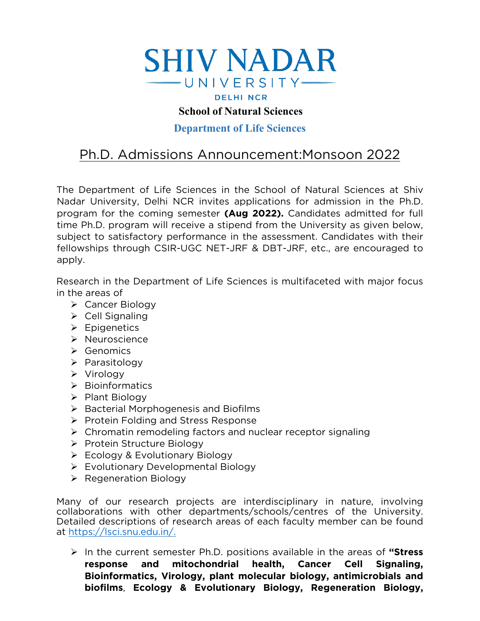

## **School of Natural Sciences**

### **Department of Life Sciences**

# Ph.D. Admissions Announcement:Monsoon 2022

The Department of Life Sciences in the School of Natural Sciences at Shiv Nadar University, Delhi NCR invites applications for admission in the Ph.D. program for the coming semester **(Aug 2022).** Candidates admitted for full time Ph.D. program will receive a stipend from the University as given below, subject to satisfactory performance in the assessment. Candidates with their fellowships through CSIR-UGC NET-JRF & DBT-JRF, etc., are encouraged to apply.

Research in the Department of Life Sciences is multifaceted with major focus in the areas of

- Cancer Biology
- $\triangleright$  Cell Signaling
- $\triangleright$  Epigenetics
- > Neuroscience
- $\triangleright$  Genomics
- $\triangleright$  Parasitology
- Virology
- $\triangleright$  Bioinformatics
- $\triangleright$  Plant Biology
- $\triangleright$  Bacterial Morphogenesis and Biofilms
- $\triangleright$  Protein Folding and Stress Response
- $\triangleright$  Chromatin remodeling factors and nuclear receptor signaling
- ▶ Protein Structure Biology
- $\triangleright$  Ecology & Evolutionary Biology
- Evolutionary Developmental Biology
- $\triangleright$  Regeneration Biology

Many of our research projects are interdisciplinary in nature, involving collaborations with other departments/schools/centres of the University. Detailed descriptions of research areas of each faculty member can be found at [https://lsci.snu.edu.in/.](https://lsci.snu.edu.in/)

 In the current semester Ph.D. positions available in the areas of **"Stress response and mitochondrial health, Cancer Cell Signaling, Bioinformatics, Virology, plant molecular biology, antimicrobials and biofilms**, **Ecology & Evolutionary Biology, Regeneration Biology,**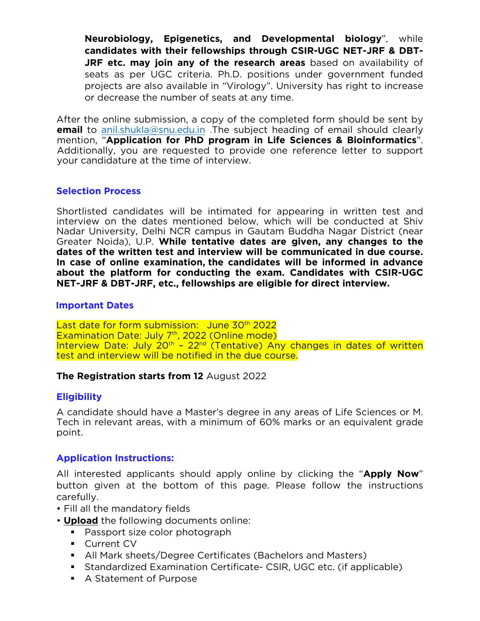**Neurobiology, Epigenetics, and Developmental biology**", while **candidates with their fellowships through CSIR-UGC NET-JRF & DBT-JRF etc. may join any of the research areas** based on availability of seats as per UGC criteria. Ph.D. positions under government funded projects are also available in "Virology". University has right to increase or decrease the number of seats at any time.

After the online submission, a copy of the completed form should be sent by **email** to [anil.shukla@snu.edu.in](mailto:anil.shukla@snu.edu.in) .The subject heading of email should clearly mention, "**Application for PhD program in Life Sciences & Bioinformatics**". Additionally, you are requested to provide one reference letter to support your candidature at the time of interview.

#### **Selection Process**

Shortlisted candidates will be intimated for appearing in written test and interview on the dates mentioned below, which will be conducted at Shiv Nadar University, Delhi NCR campus in Gautam Buddha Nagar District (near Greater Noida), U.P. **While tentative dates are given, any changes to the dates of the written test and interview will be communicated in due course. In case of online examination, the candidates will be informed in advance about the platform for conducting the exam. Candidates with CSIR-UGC NET-JRF & DBT-JRF, etc., fellowships are eligible for direct interview.**

#### **Important Dates**

Last date for form submission: June 30<sup>th</sup> 2022 Examination Date: July 7<sup>th</sup>, 2022 (Online mode) Interview Date: July 20<sup>th</sup> - 22<sup>nd</sup> (Tentative) Any changes in dates of written test and interview will be notified in the due course.

#### **The Registration starts from 12** August 2022

#### **Eligibility**

A candidate should have a Master's degree in any areas of Life Sciences or M. Tech in relevant areas, with a minimum of 60% marks or an equivalent grade point.

#### **Application Instructions:**

All interested applicants should apply online by clicking the "**Apply Now**" button given at the bottom of this page. Please follow the instructions carefully.

- Fill all the mandatory fields
- **Upload** the following documents online:
	- Passport size color photograph
	- **Current CV**
	- All Mark sheets/Degree Certificates (Bachelors and Masters)
	- Standardized Examination Certificate- CSIR, UGC etc. (if applicable)
	- A Statement of Purpose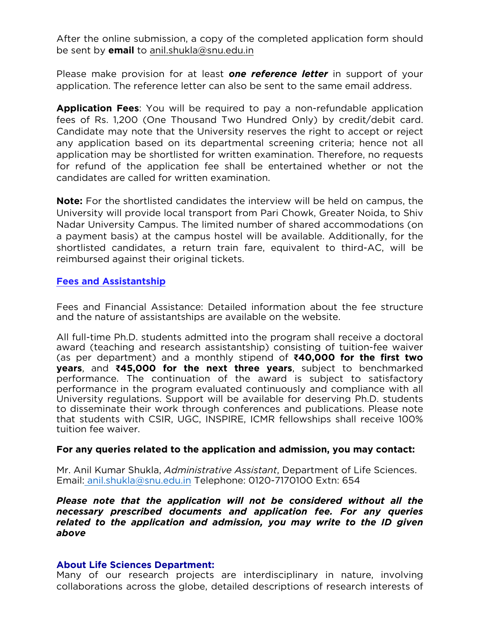After the online submission, a copy of the completed application form should be sent by **email** to [anil.shukla@snu.edu.in](mailto:anil.shukla@snu.edu.in)

Please make provision for at least *one reference letter* in support of your application. The reference letter can also be sent to the same email address.

**Application Fees**: You will be required to pay a non-refundable application fees of Rs. 1,200 (One Thousand Two Hundred Only) by credit/debit card. Candidate may note that the University reserves the right to accept or reject any application based on its departmental screening criteria; hence not all application may be shortlisted for written examination. Therefore, no requests for refund of the application fee shall be entertained whether or not the candidates are called for written examination.

**Note:** For the shortlisted candidates the interview will be held on campus, the University will provide local transport from Pari Chowk, Greater Noida, to Shiv Nadar University Campus. The limited number of shared accommodations (on a payment basis) at the campus hostel will be available. Additionally, for the shortlisted candidates, a return train fare, equivalent to third-AC, will be reimbursed against their original tickets.

#### **Fees and Assistantship**

Fees and Financial Assistance: Detailed information about the fee structure and the nature of assistantships are available on the website.

All full-time Ph.D. students admitted into the program shall receive a doctoral award (teaching and research assistantship) consisting of tuition-fee waiver (as per department) and a monthly stipend of **₹40,000 for the first two years**, and **₹45,000 for the next three years**, subject to benchmarked performance. The continuation of the award is subject to satisfactory performance in the program evaluated continuously and compliance with all University regulations. Support will be available for deserving Ph.D. students to disseminate their work through conferences and publications. Please note that students with CSIR, UGC, INSPIRE, ICMR fellowships shall receive 100% tuition fee waiver.

#### **For any queries related to the application and admission, you may contact:**

Mr. Anil Kumar Shukla, *Administrative Assistant*, Department of Life Sciences. Email: [anil.shukla@snu.edu.in](mailto:anil.shukla@snu.edu.in) Telephone: 0120-7170100 Extn: 654

*Please note that the application will not be considered without all the necessary prescribed documents and application fee. For any queries related to the application and admission, you may write to the ID given above*

#### **About Life Sciences Department:**

Many of our research projects are interdisciplinary in nature, involving collaborations across the globe, detailed descriptions of research interests of